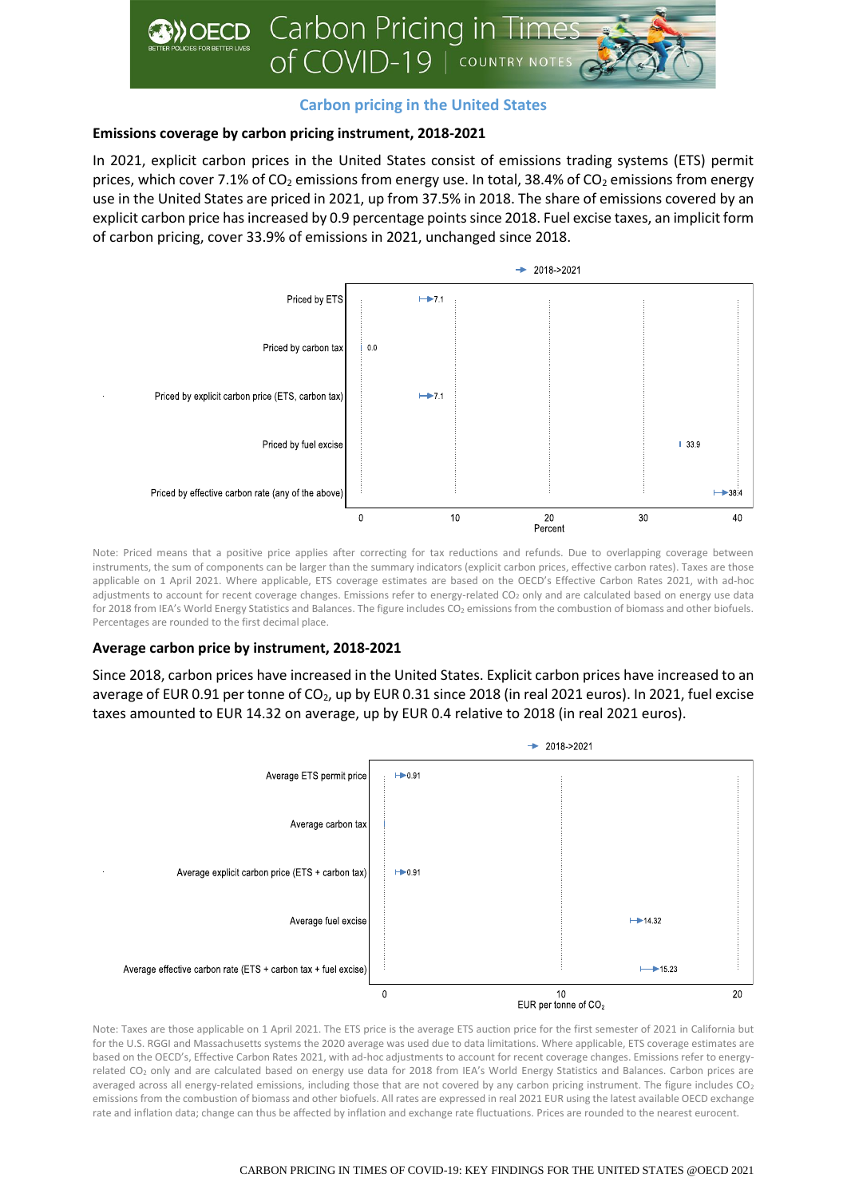

## **Carbon pricing in the United States**

# **Emissions coverage by carbon pricing instrument, 2018-2021**

In 2021, explicit carbon prices in the United States consist of emissions trading systems (ETS) permit prices, which cover 7.1% of  $CO<sub>2</sub>$  emissions from energy use. In total, 38.4% of  $CO<sub>2</sub>$  emissions from energy use in the United States are priced in 2021, up from 37.5% in 2018. The share of emissions covered by an explicit carbon price has increased by 0.9 percentage points since 2018. Fuel excise taxes, an implicit form of carbon pricing, cover 33.9% of emissions in 2021, unchanged since 2018.



Note: Priced means that a positive price applies after correcting for tax reductions and refunds. Due to overlapping coverage between instruments, the sum of components can be larger than the summary indicators (explicit carbon prices, effective carbon rates). Taxes are those applicable on 1 April 2021. Where applicable, ETS coverage estimates are based on the OECD's Effective Carbon Rates 2021, with ad-hoc adjustments to account for recent coverage changes. Emissions refer to energy-related CO<sub>2</sub> only and are calculated based on energy use data for 2018 from IEA's World Energy Statistics and Balances. The figure includes CO<sub>2</sub> emissions from the combustion of biomass and other biofuels. Percentages are rounded to the first decimal place.

## **Average carbon price by instrument, 2018-2021**

Since 2018, carbon prices have increased in the United States. Explicit carbon prices have increased to an average of EUR 0.91 per tonne of CO<sub>2</sub>, up by EUR 0.31 since 2018 (in real 2021 euros). In 2021, fuel excise taxes amounted to EUR 14.32 on average, up by EUR 0.4 relative to 2018 (in real 2021 euros).



Note: Taxes are those applicable on 1 April 2021. The ETS price is the average ETS auction price for the first semester of 2021 in California but for the U.S. RGGI and Massachusetts systems the 2020 average was used due to data limitations. Where applicable, ETS coverage estimates are based on the OECD's, Effective Carbon Rates 2021, with ad-hoc adjustments to account for recent coverage changes. Emissions refer to energyrelated CO<sub>2</sub> only and are calculated based on energy use data for 2018 from IEA's World Energy Statistics and Balances. Carbon prices are averaged across all energy-related emissions, including those that are not covered by any carbon pricing instrument. The figure includes  $CO<sub>2</sub>$ emissions from the combustion of biomass and other biofuels. All rates are expressed in real 2021 EUR using the latest available OECD exchange rate and inflation data; change can thus be affected by inflation and exchange rate fluctuations. Prices are rounded to the nearest eurocent.